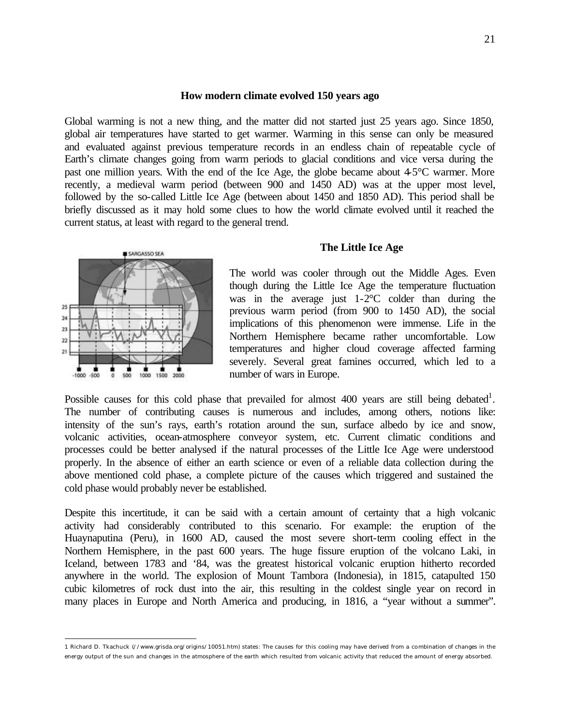### **How modern climate evolved 150 years ago**

Global warming is not a new thing, and the matter did not started just 25 years ago. Since 1850, global air temperatures have started to get warmer. Warming in this sense can only be measured and evaluated against previous temperature records in an endless chain of repeatable cycle of Earth's climate changes going from warm periods to glacial conditions and vice versa during the past one million years. With the end of the Ice Age, the globe became about 4-5°C warmer. More recently, a medieval warm period (between 900 and 1450 AD) was at the upper most level, followed by the so-called Little Ice Age (between about 1450 and 1850 AD). This period shall be briefly discussed as it may hold some clues to how the world climate evolved until it reached the current status, at least with regard to the general trend.



 $\overline{a}$ 

### **The Little Ice Age**

The world was cooler through out the Middle Ages. Even though during the Little Ice Age the temperature fluctuation was in the average just 1-2°C colder than during the previous warm period (from 900 to 1450 AD), the social implications of this phenomenon were immense. Life in the Northern Hemisphere became rather uncomfortable. Low temperatures and higher cloud coverage affected farming severely. Several great famines occurred, which led to a number of wars in Europe.

Possible causes for this cold phase that prevailed for almost 400 years are still being debated<sup>1</sup>. The number of contributing causes is numerous and includes, among others, notions like: intensity of the sun's rays, earth's rotation around the sun, surface albedo by ice and snow, volcanic activities, ocean-atmosphere conveyor system, etc. Current climatic conditions and processes could be better analysed if the natural processes of the Little Ice Age were understood properly. In the absence of either an earth science or even of a reliable data collection during the above mentioned cold phase, a complete picture of the causes which triggered and sustained the cold phase would probably never be established.

Despite this incertitude, it can be said with a certain amount of certainty that a high volcanic activity had considerably contributed to this scenario. For example: the eruption of the Huaynaputina (Peru), in 1600 AD, caused the most severe short-term cooling effect in the Northern Hemisphere, in the past 600 years. The huge fissure eruption of the volcano Laki, in Iceland, between 1783 and '84, was the greatest historical volcanic eruption hitherto recorded anywhere in the world. The explosion of Mount Tambora (Indonesia), in 1815, catapulted 150 cubic kilometres of rock dust into the air, this resulting in the coldest single year on record in many places in Europe and North America and producing, in 1816, a "year without a summer".

<sup>1</sup> Richard D. Tkachuck (//www.grisda.org/origins/10051.htm) states: The causes for this cooling may have derived from a combination of changes in the energy output of the sun and changes in the atmosphere of the earth which resulted from volcanic activity that reduced the amount of energy absorbed.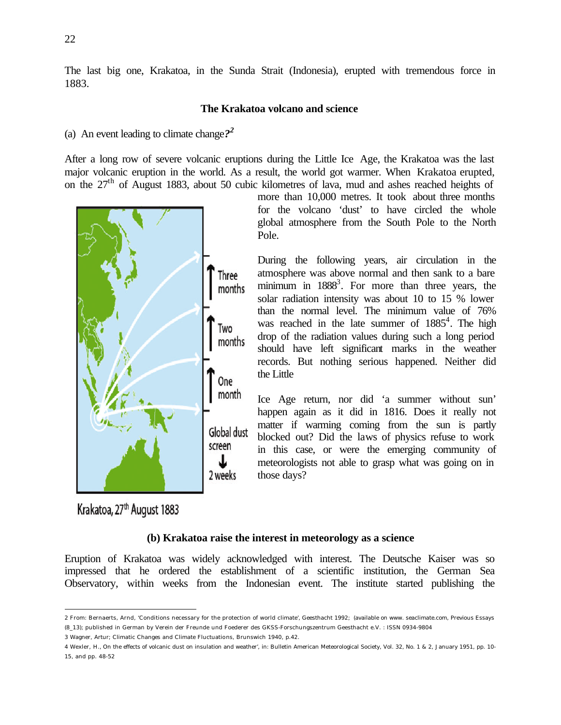The last big one, Krakatoa, in the Sunda Strait (Indonesia), erupted with tremendous force in 1883.

### **The Krakatoa volcano and science**

# (a) An event leading to climate change*? 2*

After a long row of severe volcanic eruptions during the Little Ice Age, the Krakatoa was the last major volcanic eruption in the world. As a result, the world got warmer. When Krakatoa erupted, on the 27th of August 1883, about 50 cubic kilometres of lava, mud and ashes reached heights of



more than 10,000 metres. It took about three months for the volcano 'dust' to have circled the whole global atmosphere from the South Pole to the North Pole.

During the following years, air circulation in the atmosphere was above normal and then sank to a bare minimum in 1888<sup>3</sup>. For more than three years, the solar radiation intensity was about 10 to 15 % lower than the normal level. The minimum value of 76% was reached in the late summer of  $1885<sup>4</sup>$ . The high drop of the radiation values during such a long period should have left significant marks in the weather records. But nothing serious happened. Neither did the Little

Ice Age return, nor did 'a summer without sun' happen again as it did in 1816. Does it really not matter if warming coming from the sun is partly blocked out? Did the laws of physics refuse to work in this case, or were the emerging community of meteorologists not able to grasp what was going on in those days?

Krakatoa, 27<sup>th</sup> August 1883

 $\overline{a}$ 

### **(b) Krakatoa raise the interest in meteorology as a science**

Eruption of Krakatoa was widely acknowledged with interest. The Deutsche Kaiser was so impressed that he ordered the establishment of a scientific institution, the German Sea Observatory, within weeks from the Indonesian event. The institute started publishing the

<sup>2</sup> From: Bernaerts, Arnd, 'Conditions necessary for the protection of world climate', Geesthacht 1992; (available on www. seaclimate.com, Previous Essays (8\_13); published in German by Verein der Freunde und Foederer des GKSS-Forschungszentrum Geesthacht e.V. : ISSN 0934-9804

<sup>3</sup> Wagner, Artur; Climatic Changes and Climate Fluctuations, Brunswich 1940, p.42.

<sup>4</sup> Wexler, H.' On the effects of volcanic dust on insulation and weather', in: Bulletin American Meteorological Society, Vol. 32, No. 1 & 2, January 1951, pp. 10- 15, and pp. 48-52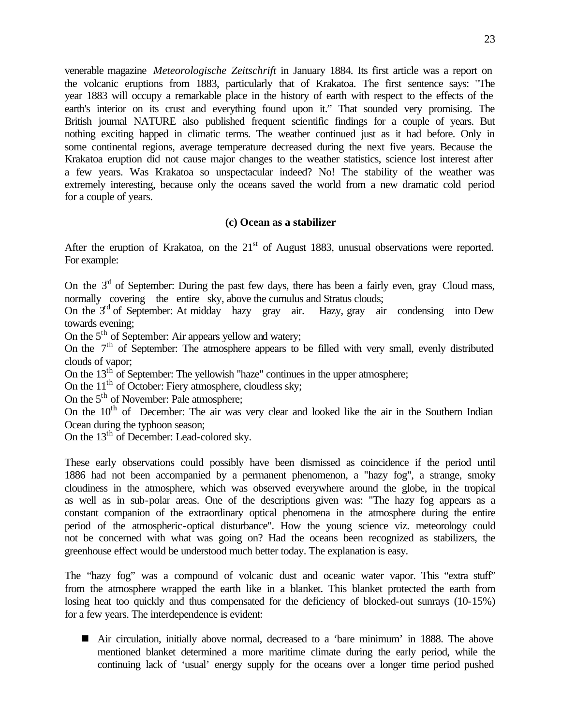venerable magazine *Meteorologische Zeitschrift* in January 1884. Its first article was a report on the volcanic eruptions from 1883, particularly that of Krakatoa. The first sentence says: "The year 1883 will occupy a remarkable place in the history of earth with respect to the effects of the earth's interior on its crust and everything found upon it." That sounded very promising. The British journal NATURE also published frequent scientific findings for a couple of years. But nothing exciting happed in climatic terms. The weather continued just as it had before. Only in some continental regions, average temperature decreased during the next five years. Because the Krakatoa eruption did not cause major changes to the weather statistics, science lost interest after a few years. Was Krakatoa so unspectacular indeed? No! The stability of the weather was extremely interesting, because only the oceans saved the world from a new dramatic cold period for a couple of years.

## **(c) Ocean as a stabilizer**

After the eruption of Krakatoa, on the  $21<sup>st</sup>$  of August 1883, unusual observations were reported. For example:

On the  $3<sup>d</sup>$  of September: During the past few days, there has been a fairly even, gray Cloud mass, normally covering the entire sky, above the cumulus and Stratus clouds;

On the  $3<sup>rd</sup>$  of September: At midday hazy gray air. Hazy, gray air condensing into Dew towards evening;

On the  $5<sup>th</sup>$  of September: Air appears yellow and watery;

On the  $7<sup>th</sup>$  of September: The atmosphere appears to be filled with very small, evenly distributed clouds of vapor;

On the  $13<sup>th</sup>$  of September: The yellowish "haze" continues in the upper atmosphere;

On the  $11<sup>th</sup>$  of October: Fiery atmosphere, cloudless sky;

On the 5<sup>th</sup> of November: Pale atmosphere;

On the  $10<sup>th</sup>$  of December: The air was very clear and looked like the air in the Southern Indian Ocean during the typhoon season;

On the 13<sup>th</sup> of December: Lead-colored sky.

These early observations could possibly have been dismissed as coincidence if the period until 1886 had not been accompanied by a permanent phenomenon, a "hazy fog", a strange, smoky cloudiness in the atmosphere, which was observed everywhere around the globe, in the tropical as well as in sub-polar areas. One of the descriptions given was: "The hazy fog appears as a constant companion of the extraordinary optical phenomena in the atmosphere during the entire period of the atmospheric-optical disturbance". How the young science viz. meteorology could not be concerned with what was going on? Had the oceans been recognized as stabilizers, the greenhouse effect would be understood much better today. The explanation is easy.

The "hazy fog" was a compound of volcanic dust and oceanic water vapor. This "extra stuff" from the atmosphere wrapped the earth like in a blanket. This blanket protected the earth from losing heat too quickly and thus compensated for the deficiency of blocked-out sunrays (10-15%) for a few years. The interdependence is evident:

n Air circulation, initially above normal, decreased to a 'bare minimum' in 1888. The above mentioned blanket determined a more maritime climate during the early period, while the continuing lack of 'usual' energy supply for the oceans over a longer time period pushed